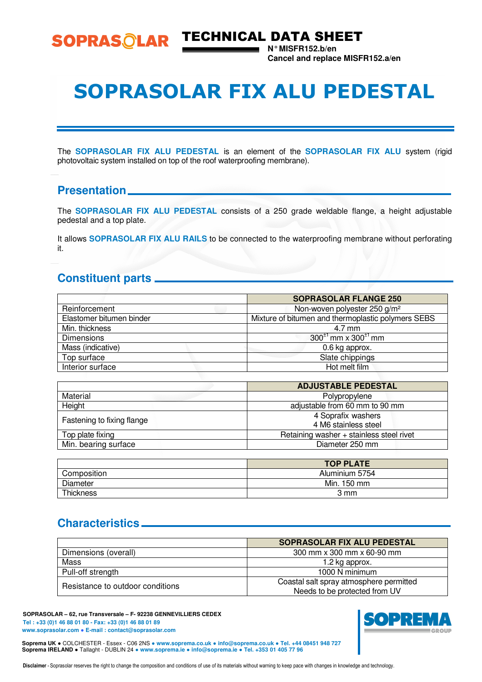

SOPRASOLAR TECHNICAL DATA SHEET

**N° MISFR152.b/en Cancel and replace MISFR152.a/en** 

## SOPRASOLAR FIX ALU PEDESTAL

The **SOPRASOLAR FIX ALU PEDESTAL** is an element of the **SOPRASOLAR FIX ALU** system (rigid photovoltaic system installed on top of the roof waterproofing membrane).

### **Presentation**

The **SOPRASOLAR FIX ALU PEDESTAL** consists of a 250 grade weldable flange, a height adjustable pedestal and a top plate.

It allows **SOPRASOLAR FIX ALU RAILS** to be connected to the waterproofing membrane without perforating it.

## **Constituent parts**

|                          | <b>SOPRASOLAR FLANGE 250</b>                       |
|--------------------------|----------------------------------------------------|
| Reinforcement            | Non-woven polyester 250 g/m <sup>2</sup>           |
| Elastomer bitumen binder | Mixture of bitumen and thermoplastic polymers SEBS |
| Min. thickness           | 4.7 mm                                             |
| <b>Dimensions</b>        | $300^{\pm 1}$ mm x $300^{\pm 1}$ mm                |
| Mass (indicative)        | 0.6 kg approx.                                     |
| Top surface              | Slate chippings                                    |
| Interior surface         | Hot melt film                                      |
|                          |                                                    |

|                            | <b>ADJUSTABLE PEDESTAL</b>                 |  |  |
|----------------------------|--------------------------------------------|--|--|
| Material                   | Polypropylene                              |  |  |
| Height                     | adjustable from 60 mm to 90 mm             |  |  |
| Fastening to fixing flange | 4 Soprafix washers<br>4 M6 stainless steel |  |  |
| Top plate fixing           | Retaining washer + stainless steel rivet   |  |  |
| Min. bearing surface       | Diameter 250 mm                            |  |  |
|                            |                                            |  |  |

|             | <b>TOP PLATE</b> |
|-------------|------------------|
| Composition | Aluminium 5754   |
| Diameter    | Min. 150 mm      |
| Thickness   | 3 mm             |

## **Characteristics**

|                                  | <b>SOPRASOLAR FIX ALU PEDESTAL</b>      |  |  |
|----------------------------------|-----------------------------------------|--|--|
| Dimensions (overall)             | 300 mm x 300 mm x 60-90 mm              |  |  |
| Mass                             | 1.2 kg approx.                          |  |  |
| Pull-off strength                | 1000 N minimum                          |  |  |
| Resistance to outdoor conditions | Coastal salt spray atmosphere permitted |  |  |
|                                  | Needs to be protected from UV           |  |  |

**SOPRASOLAR – 62, rue Transversale – F- 92238 GENNEVILLIERS CEDEX Tel : +33 (0)1 46 88 01 80 - Fax: +33 (0)1 46 88 01 89 www.soprasolar.com** ● **E-mail : contact@soprasolar.com** 





Disclaimer - Soprasolar reserves the right to change the composition and conditions of use of its materials without warning to keep pace with changes in knowledge and technology.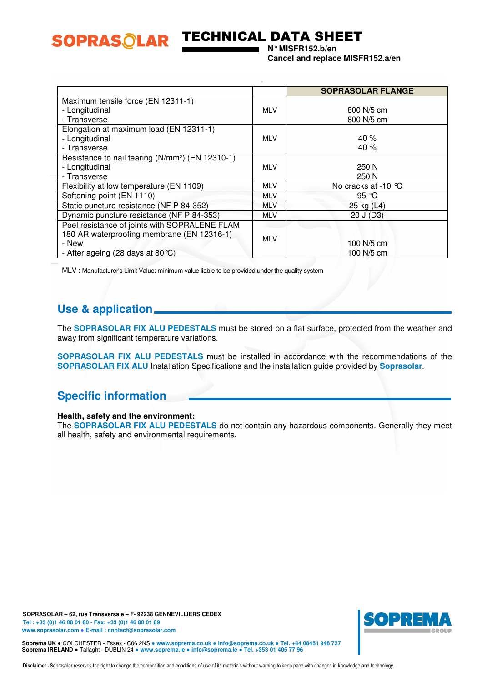

## TECHNICAL DATA SHEET

**N° MISFR152.b/en Cancel and replace MISFR152.a/en** 

|                                                              |            | <b>SOPRASOLAR FLANGE</b> |
|--------------------------------------------------------------|------------|--------------------------|
| Maximum tensile force (EN 12311-1)                           |            |                          |
| - Longitudinal                                               | <b>MLV</b> | 800 N/5 cm               |
| - Transverse                                                 |            | 800 N/5 cm               |
| Elongation at maximum load (EN 12311-1)                      |            |                          |
| - Longitudinal                                               | <b>MLV</b> | 40 %                     |
| - Transverse                                                 |            | 40 %                     |
| Resistance to nail tearing (N/mm <sup>2</sup> ) (EN 12310-1) |            |                          |
| - Longitudinal                                               | <b>MLV</b> | 250 N                    |
| - Transverse                                                 |            | 250 N                    |
| Flexibility at low temperature (EN 1109)                     | <b>MLV</b> | No cracks at -10 ℃       |
| Softening point (EN 1110)                                    | <b>MLV</b> | 95 $\degree$ C           |
| Static puncture resistance (NF P 84-352)                     | <b>MLV</b> | 25 kg (L4)               |
| Dynamic puncture resistance (NF P 84-353)                    | <b>MLV</b> | 20 J (D3)                |
| Peel resistance of joints with SOPRALENE FLAM                |            |                          |
| 180 AR waterproofing membrane (EN 12316-1)                   | <b>MLV</b> |                          |
| - New                                                        |            | 100 N/5 cm               |
| - After ageing (28 days at 80 °C)                            |            | 100 N/5 cm               |

MLV : Manufacturer's Limit Value: minimum value liable to be provided under the quality system

## **Use & application**

The **SOPRASOLAR FIX ALU PEDESTALS** must be stored on a flat surface, protected from the weather and away from significant temperature variations.

**SOPRASOLAR FIX ALU PEDESTALS** must be installed in accordance with the recommendations of the **SOPRASOLAR FIX ALU** Installation Specifications and the installation guide provided by **Soprasolar**.

## **Specific information**

#### **Health, safety and the environment:**

The **SOPRASOLAR FIX ALU PEDESTALS** do not contain any hazardous components. Generally they meet all health, safety and environmental requirements.

**SOPRASOLAR – 62, rue Transversale – F- 92238 GENNEVILLIERS CEDEX Tel : +33 (0)1 46 88 01 80 - Fax: +33 (0)1 46 88 01 89 www.soprasolar.com** ● **E-mail : contact@soprasolar.com** 



**Soprema UK** ● COLCHESTER - Essex - C06 2NS ● **www.soprema.co.uk** ● **info@soprema.co.uk** ● **Tel. +44 08451 948 727 Soprema IRELAND** ● Tallaght - DUBLIN 24 ● **www.soprema.ie** ● **info@soprema.ie** ● **Tel. +353 01 405 77 96**